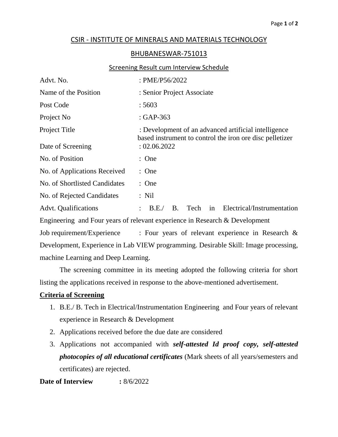# CSIR - INSTITUTE OF MINERALS AND MATERIALS TECHNOLOGY

### BHUBANESWAR-751013

#### Screening Result cum Interview Schedule

| Advt. No.                                                                           | : PME/P56/2022                                                                     |  |  |  |
|-------------------------------------------------------------------------------------|------------------------------------------------------------------------------------|--|--|--|
| Name of the Position                                                                | : Senior Project Associate                                                         |  |  |  |
| Post Code                                                                           | :5603                                                                              |  |  |  |
| Project No                                                                          | $: GAP-363$                                                                        |  |  |  |
| Project Title                                                                       | : Development of an advanced artificial intelligence                               |  |  |  |
| Date of Screening                                                                   | based instrument to control the iron ore disc pelletizer<br>: 02.06.2022           |  |  |  |
| No. of Position                                                                     | : One                                                                              |  |  |  |
| No. of Applications Received                                                        | : One                                                                              |  |  |  |
| No. of Shortlisted Candidates                                                       | : One                                                                              |  |  |  |
| No. of Rejected Candidates                                                          | $:$ Nil                                                                            |  |  |  |
| <b>Advt.</b> Qualifications                                                         | B. Tech<br>Electrical/Instrumentation<br>$\therefore$ B.E.<br>in                   |  |  |  |
| Engineering and Four years of relevant experience in Research & Development         |                                                                                    |  |  |  |
|                                                                                     | Job requirement/Experience $\cdot$ Four years of relevant experience in Research & |  |  |  |
| Development, Experience in Lab VIEW programming. Desirable Skill: Image processing, |                                                                                    |  |  |  |
| machine Learning and Deep Learning.                                                 |                                                                                    |  |  |  |

The screening committee in its meeting adopted the following criteria for short listing the applications received in response to the above-mentioned advertisement.

## **Criteria of Screening**

- 1. B.E./ B. Tech in Electrical/Instrumentation Engineering and Four years of relevant experience in Research & Development
- 2. Applications received before the due date are considered
- 3. Applications not accompanied with *self-attested Id proof copy, self-attested photocopies of all educational certificates* (Mark sheets of all years/semesters and certificates) are rejected.

# **Date of Interview :** 8/6/2022